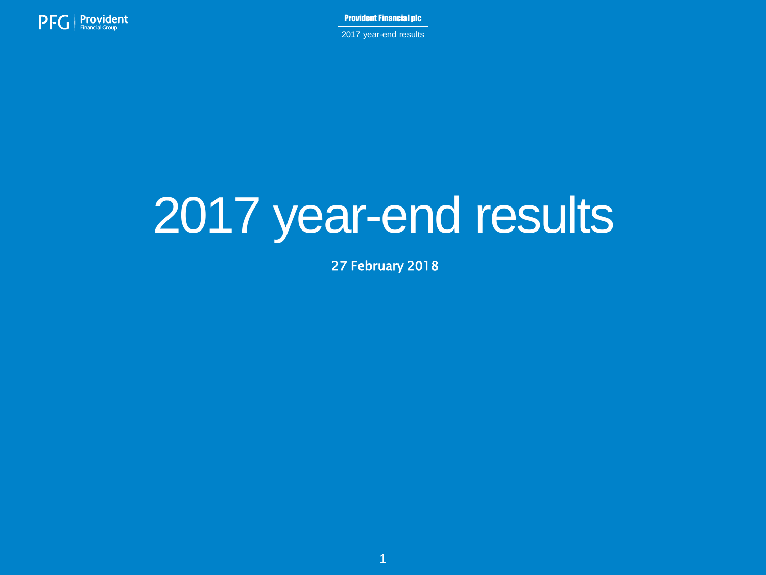

2017 year-end results

# 2017 year-end results

27 February 2018

1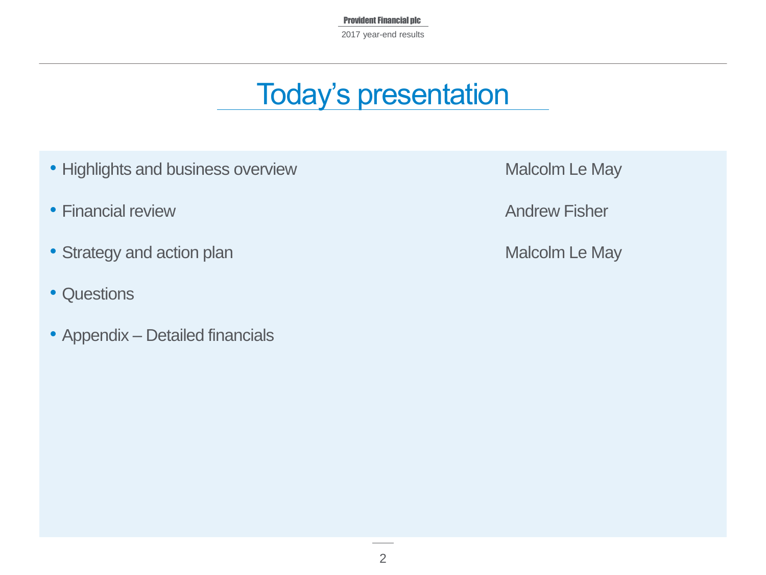Provident Financial plc 2017 year-end results

# Today's presentation

- Highlights and business overview Malcolm Le May
- Financial review **Andrew Fisher** Andrew Fisher
- Strategy and action plan Malcolm Le May
- Questions
- Appendix Detailed financials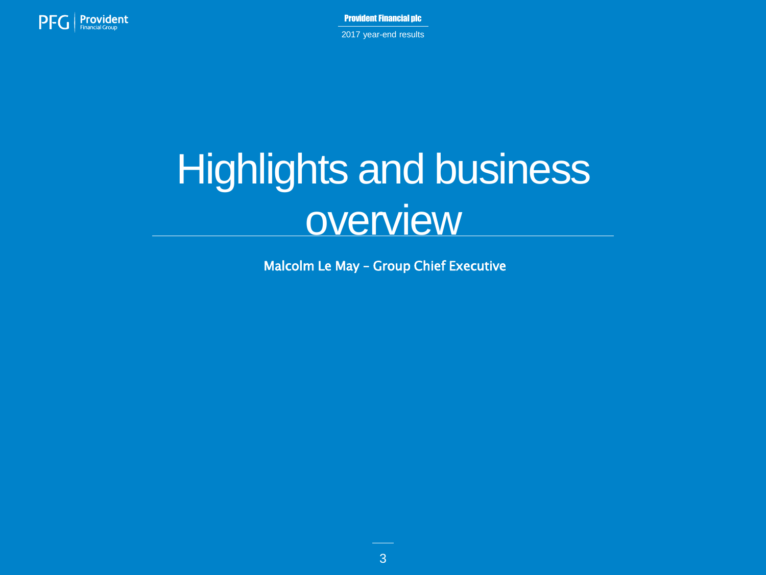

Provident Financial plc 2017 year-end results

# Highlights and business **overview**

Malcolm Le May – Group Chief Executive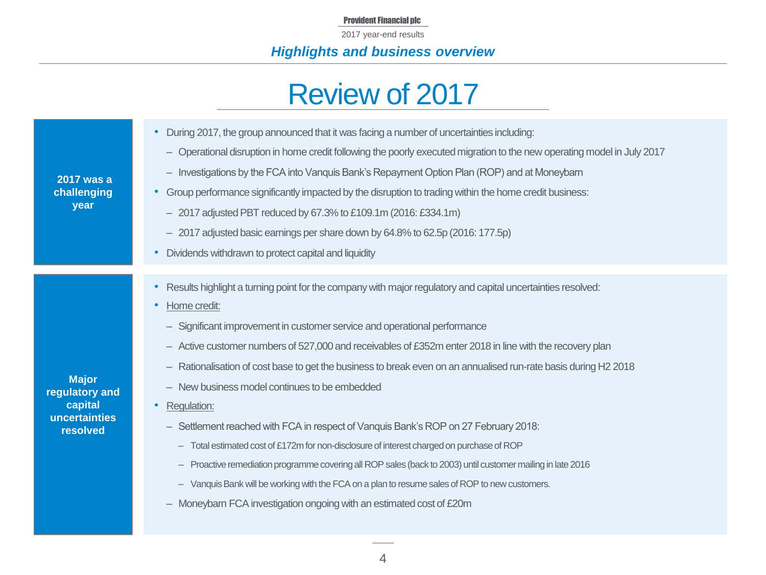2017 year-end results

# *Highlights and business overview*

# Review of 2017

| <b>2017 was a</b><br>challenging<br>year                               | During 2017, the group announced that it was facing a number of uncertainties including:<br>- Operational disruption in home credit following the poorly executed migration to the new operating model in July 2017<br>- Investigations by the FCA into Vanquis Bank's Repayment Option Plan (ROP) and at Moneybarn<br>Group performance significantly impacted by the disruption to trading within the home credit business:<br>- 2017 adjusted PBT reduced by 67.3% to £109.1m (2016: £334.1m)<br>- 2017 adjusted basic earnings per share down by 64.8% to 62.5p (2016: 177.5p)<br>Dividends withdrawn to protect capital and liquidity                                                                                                                                                                                                                                                                                                                                          |
|------------------------------------------------------------------------|-------------------------------------------------------------------------------------------------------------------------------------------------------------------------------------------------------------------------------------------------------------------------------------------------------------------------------------------------------------------------------------------------------------------------------------------------------------------------------------------------------------------------------------------------------------------------------------------------------------------------------------------------------------------------------------------------------------------------------------------------------------------------------------------------------------------------------------------------------------------------------------------------------------------------------------------------------------------------------------|
| <b>Major</b><br>regulatory and<br>capital<br>uncertainties<br>resolved | Results highlight a turning point for the company with major regulatory and capital uncertainties resolved:<br>Home credit:<br>- Significant improvement in customer service and operational performance<br>- Active customer numbers of 527,000 and receivables of £352m enter 2018 in line with the recovery plan<br>- Rationalisation of cost base to get the business to break even on an annualised run-rate basis during H2 2018<br>- New business model continues to be embedded<br>Regulation:<br>- Settlement reached with FCA in respect of Vanquis Bank's ROP on 27 February 2018:<br>- Total estimated cost of £172m for non-disclosure of interest charged on purchase of ROP<br>- Proactive remediation programme covering all ROP sales (back to 2003) until customer mailing in late 2016<br>- Vanquis Bank will be working with the FCA on a plan to resume sales of ROP to new customers.<br>- Moneybarn FCA investigation ongoing with an estimated cost of £20m |

4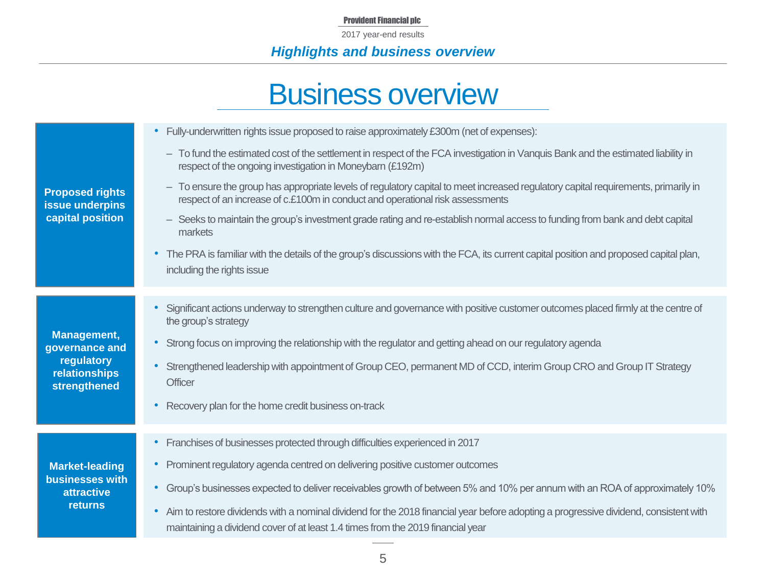2017 year-end results

# *Highlights and business overview*

# Business overview

| <b>Proposed rights</b><br>issue underpins<br>capital position                   | Fully-underwritten rights issue proposed to raise approximately £300m (net of expenses):<br>$\bullet$<br>- To fund the estimated cost of the settlement in respect of the FCA investigation in Vanquis Bank and the estimated liability in<br>respect of the ongoing investigation in Moneybarn (£192m)<br>- To ensure the group has appropriate levels of regulatory capital to meet increased regulatory capital requirements, primarily in<br>respect of an increase of c.£100m in conduct and operational risk assessments<br>- Seeks to maintain the group's investment grade rating and re-establish normal access to funding from bank and debt capital<br>markets<br>• The PRA is familiar with the details of the group's discussions with the FCA, its current capital position and proposed capital plan,<br>including the rights issue |
|---------------------------------------------------------------------------------|----------------------------------------------------------------------------------------------------------------------------------------------------------------------------------------------------------------------------------------------------------------------------------------------------------------------------------------------------------------------------------------------------------------------------------------------------------------------------------------------------------------------------------------------------------------------------------------------------------------------------------------------------------------------------------------------------------------------------------------------------------------------------------------------------------------------------------------------------|
| Management,<br>governance and<br>regulatory<br>relationships<br>strengthened    | Significant actions underway to strengthen culture and governance with positive customer outcomes placed firmly at the centre of<br>the group's strategy<br>Strong focus on improving the relationship with the regulator and getting ahead on our regulatory agenda<br>$\bullet$<br>Strengthened leadership with appointment of Group CEO, permanent MD of CCD, interim Group CRO and Group IT Strategy<br><b>Officer</b><br>Recovery plan for the home credit business on-track<br>$\bullet$                                                                                                                                                                                                                                                                                                                                                     |
| <b>Market-leading</b><br><b>businesses with</b><br>attractive<br><b>returns</b> | • Franchises of businesses protected through difficulties experienced in 2017<br>• Prominent regulatory agenda centred on delivering positive customer outcomes<br>Group's businesses expected to deliver receivables growth of between 5% and 10% per annum with an ROA of approximately 10%<br>$\bullet$<br>Aim to restore dividends with a nominal dividend for the 2018 financial year before adopting a progressive dividend, consistent with<br>$\bullet$<br>maintaining a dividend cover of at least 1.4 times from the 2019 financial year                                                                                                                                                                                                                                                                                                 |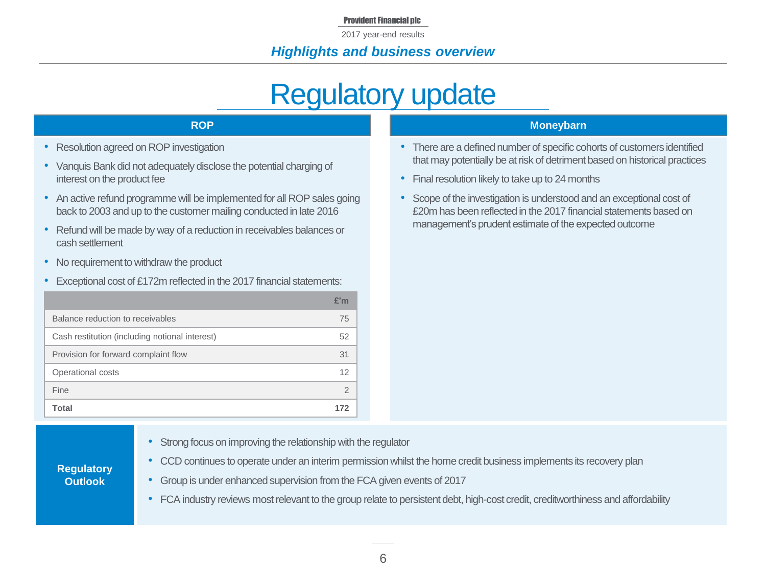2017 year-end results

### *Highlights and business overview*

# Regulatory update

- Resolution agreed on ROP investigation
- Vanquis Bank did not adequately disclose the potential charging of interest on the product fee
- An active refund programme will be implemented for all ROP sales going back to 2003 and up to the customer mailing conducted in late 2016
- Refund will be made by way of a reduction in receivables balances or cash settlement
- No requirement to withdraw the product
- Exceptional cost of £172m reflected in the 2017 financial statements:

|                                                | £'m |
|------------------------------------------------|-----|
| Balance reduction to receivables               | 75  |
| Cash restitution (including notional interest) | 52  |
| Provision for forward complaint flow           | 31  |
| Operational costs                              | 12  |
| Fine                                           | 2   |
| Total                                          | 172 |

#### **ROP Moneybarn**

- There are a defined number of specific cohorts of customers identified that may potentially be at risk of detriment based on historical practices
- Final resolution likely to take up to 24 months
- Scope of the investigation is understood and an exceptional cost of £20m has been reflected in the 2017 financial statements based on management's prudent estimate of the expected outcome

- **Regulatory Outlook**
- Strong focus on improving the relationship with the regulator
- CCD continues to operate under an interim permission whilst the home credit business implements its recovery plan
- Group is under enhanced supervision from the FCA given events of 2017
- FCA industry reviews most relevant to the group relate to persistent debt, high-cost credit, creditworthiness and affordability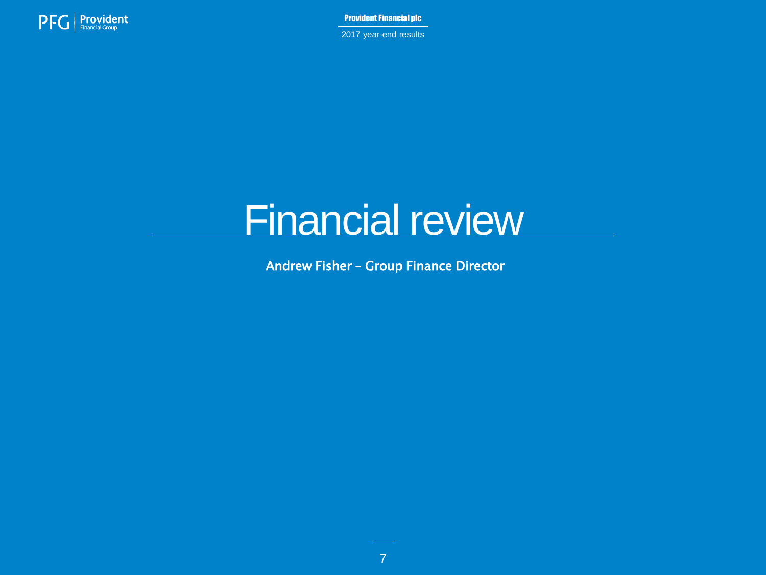

2017 year-end results

# Financial review

Andrew Fisher – Group Finance Director

7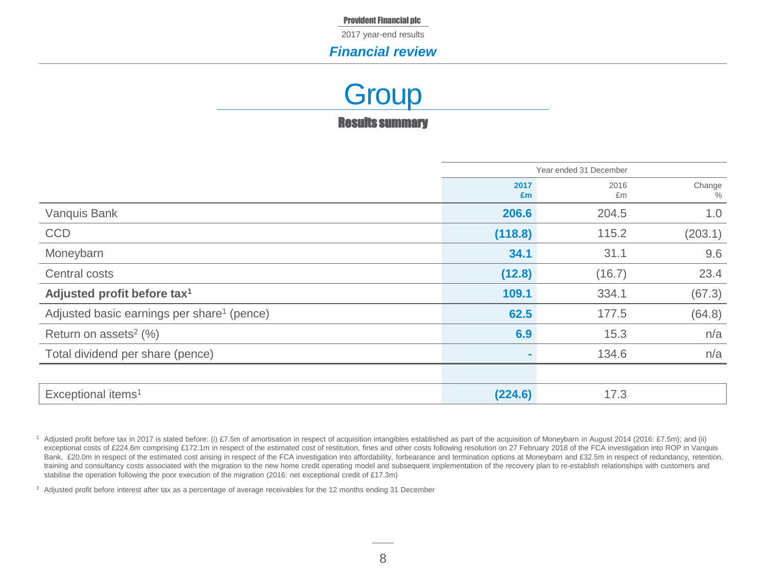2017 year-end results

#### *Financial review*

Results summary **Group** 

|                                                        | Year ended 31 December |            |                |
|--------------------------------------------------------|------------------------|------------|----------------|
|                                                        | 2017<br>£m             | 2016<br>£m | Change<br>$\%$ |
| Vanquis Bank                                           | 206.6                  | 204.5      | 1.0            |
| <b>CCD</b>                                             | (118.8)                | 115.2      | (203.1)        |
| Moneybarn                                              | 34.1                   | 31.1       | 9.6            |
| Central costs                                          | (12.8)                 | (16.7)     | 23.4           |
| Adjusted profit before tax <sup>1</sup>                | 109.1                  | 334.1      | (67.3)         |
| Adjusted basic earnings per share <sup>1</sup> (pence) | 62.5                   | 177.5      | (64.8)         |
| Return on assets <sup>2</sup> $(%)$                    | 6.9                    | 15.3       | n/a            |
| Total dividend per share (pence)                       |                        | 134.6      | n/a            |
|                                                        |                        |            |                |
| Exceptional items <sup>1</sup>                         | (224.6)                | 17.3       |                |

<sup>2</sup> Adjusted profit before interest after tax as a percentage of average receivables for the 12 months ending 31 December

<sup>1</sup> Adjusted profit before tax in 2017 is stated before: (i) £7.5m of amortisation in respect of acquisition intangibles established as part of the acquisition of Moneybarn in August 2014 (2016: £7.5m); and (ii) exceptional costs of £224.6m comprising £172.1m in respect of the estimated cost of restitution, fines and other costs following resolution on 27 February 2018 of the FCA investigation into ROP in Vanquis Bank, £20.0m in respect of the estimated cost arising in respect of the FCA investigation into affordability, forbearance and termination options at Moneybarn and £32.5m in respect of redundancy, retention, training and consultancy costs associated with the migration to the new home credit operating model and subsequent implementation of the recovery plan to re-establish relationships with customers and stabilise the operation following the poor execution of the migration (2016: net exceptional credit of £17.3m)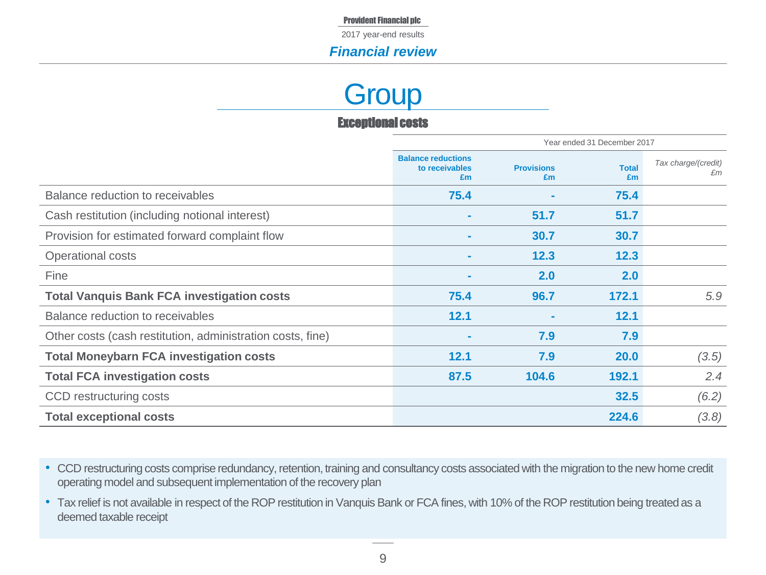2017 year-end results

### *Financial review*

# **Group**

#### Exceptional costs

|                                                            | Year ended 31 December 2017                       |                         |                    |                           |
|------------------------------------------------------------|---------------------------------------------------|-------------------------|--------------------|---------------------------|
|                                                            | <b>Balance reductions</b><br>to receivables<br>£m | <b>Provisions</b><br>Em | <b>Total</b><br>Em | Tax charge/(credit)<br>£m |
| Balance reduction to receivables                           | 75.4                                              |                         | 75.4               |                           |
| Cash restitution (including notional interest)             |                                                   | 51.7                    | 51.7               |                           |
| Provision for estimated forward complaint flow             | $\sim$                                            | 30.7                    | 30.7               |                           |
| Operational costs                                          | $\sim$                                            | 12.3                    | 12.3               |                           |
| Fine                                                       | $\sim$                                            | 2.0                     | 2.0                |                           |
| <b>Total Vanquis Bank FCA investigation costs</b>          | 75.4                                              | 96.7                    | 172.1              | 5.9                       |
| Balance reduction to receivables                           | 12.1                                              |                         | 12.1               |                           |
| Other costs (cash restitution, administration costs, fine) |                                                   | 7.9                     | 7.9                |                           |
| <b>Total Moneybarn FCA investigation costs</b>             | 12.1                                              | 7.9                     | 20.0               | (3.5)                     |
| <b>Total FCA investigation costs</b>                       | 87.5                                              | 104.6                   | 192.1              | 2.4                       |
| CCD restructuring costs                                    |                                                   |                         | 32.5               | (6.2)                     |
| <b>Total exceptional costs</b>                             |                                                   |                         | 224.6              | (3.8)                     |

- CCD restructuring costs comprise redundancy, retention, training and consultancy costs associated with the migration to the new home credit operating model and subsequent implementation of the recovery plan
- Tax relief is not available in respect of the ROP restitution in Vanquis Bank or FCA fines, with 10% of the ROP restitution being treated as a deemed taxable receipt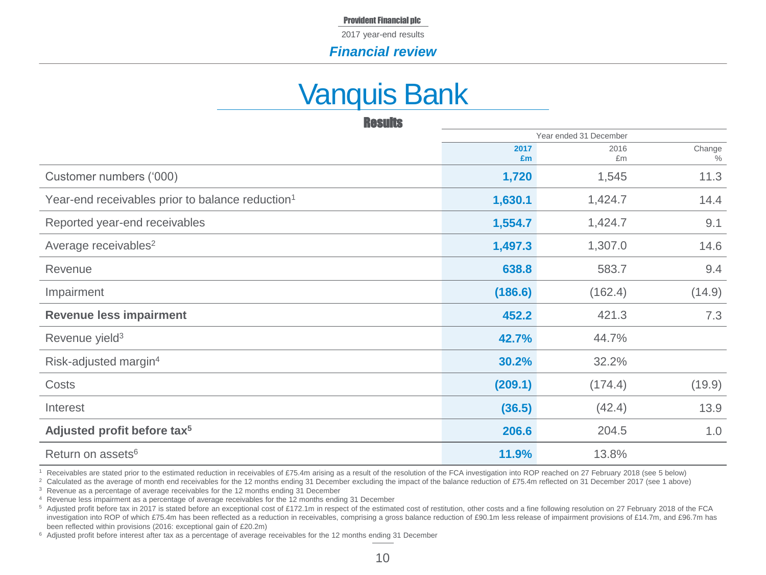2017 year-end results

#### *Financial review*

# Vanquis Bank

| <b>Results</b>                                               |            |                        |                |
|--------------------------------------------------------------|------------|------------------------|----------------|
|                                                              |            | Year ended 31 December |                |
|                                                              | 2017<br>£m | 2016<br>£m             | Change<br>$\%$ |
| Customer numbers ('000)                                      | 1,720      | 1,545                  | 11.3           |
| Year-end receivables prior to balance reduction <sup>1</sup> | 1,630.1    | 1,424.7                | 14.4           |
| Reported year-end receivables                                | 1,554.7    | 1,424.7                | 9.1            |
| Average receivables <sup>2</sup>                             | 1,497.3    | 1,307.0                | 14.6           |
| Revenue                                                      | 638.8      | 583.7                  | 9.4            |
| Impairment                                                   | (186.6)    | (162.4)                | (14.9)         |
| <b>Revenue less impairment</b>                               | 452.2      | 421.3                  | 7.3            |
| Revenue yield <sup>3</sup>                                   | 42.7%      | 44.7%                  |                |
| Risk-adjusted margin <sup>4</sup>                            | 30.2%      | 32.2%                  |                |
| Costs                                                        | (209.1)    | (174.4)                | (19.9)         |
| Interest                                                     | (36.5)     | (42.4)                 | 13.9           |
| Adjusted profit before tax <sup>5</sup>                      | 206.6      | 204.5                  | 1.0            |
| Return on assets <sup>6</sup>                                | 11.9%      | 13.8%                  |                |

<sup>1</sup> Receivables are stated prior to the estimated reduction in receivables of £75.4m arising as a result of the resolution of the FCA investigation into ROP reached on 27 February 2018 (see 5 below)

<sup>2</sup> Calculated as the average of month end receivables for the 12 months ending 31 December excluding the impact of the balance reduction of £75.4m reflected on 31 December 2017 (see 1 above)

<sup>3</sup> Revenue as a percentage of average receivables for the 12 months ending 31 December

<sup>4</sup> Revenue less impairment as a percentage of average receivables for the 12 months ending 31 December

5 Adjusted profit before tax in 2017 is stated before an exceptional cost of £172.1m in respect of the estimated cost of restitution, other costs and a fine following resolution on 27 February 2018 of the FCA investigation into ROP of which £75.4m has been reflected as a reduction in receivables, comprising a gross balance reduction of £90.1m less release of impairment provisions of £14.7m, and £96.7m has been reflected within provisions (2016: exceptional gain of £20.2m)

<sup>6</sup> Adjusted profit before interest after tax as a percentage of average receivables for the 12 months ending 31 December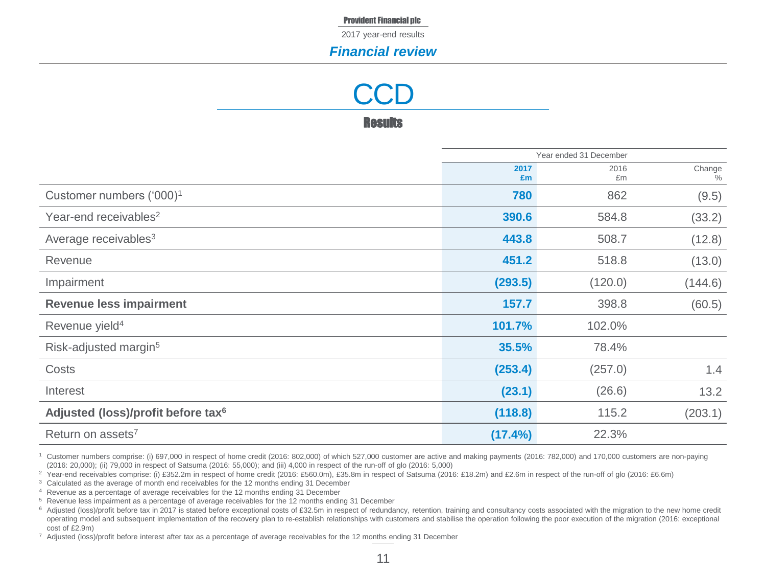2017 year-end results

#### *Financial review*

**CCD** 

**Results** 

|                                                | Year ended 31 December |            |                |
|------------------------------------------------|------------------------|------------|----------------|
|                                                | 2017<br>£m             | 2016<br>£m | Change<br>$\%$ |
| Customer numbers ('000) <sup>1</sup>           | 780                    | 862        | (9.5)          |
| Year-end receivables <sup>2</sup>              | 390.6                  | 584.8      | (33.2)         |
| Average receivables <sup>3</sup>               | 443.8                  | 508.7      | (12.8)         |
| Revenue                                        | 451.2                  | 518.8      | (13.0)         |
| Impairment                                     | (293.5)                | (120.0)    | (144.6)        |
| <b>Revenue less impairment</b>                 | 157.7                  | 398.8      | (60.5)         |
| Revenue yield <sup>4</sup>                     | 101.7%                 | 102.0%     |                |
| Risk-adjusted margin <sup>5</sup>              | 35.5%                  | 78.4%      |                |
| Costs                                          | (253.4)                | (257.0)    | 1.4            |
| Interest                                       | (23.1)                 | (26.6)     | 13.2           |
| Adjusted (loss)/profit before tax <sup>6</sup> | (118.8)                | 115.2      | (203.1)        |
| Return on assets <sup>7</sup>                  | $(17.4\%)$             | 22.3%      |                |

<sup>1</sup> Customer numbers comprise: (i) 697,000 in respect of home credit (2016: 802,000) of which 527,000 customer are active and making payments (2016: 782,000) and 170,000 customers are non-paying (2016: 20,000); (ii) 79,000 in respect of Satsuma (2016: 55,000); and (iii) 4,000 in respect of the run-off of glo (2016: 5,000)

<sup>2</sup> Year-end receivables comprise: (i) £352.2m in respect of home credit (2016: £560.0m), £35.8m in respect of Satsuma (2016: £18.2m) and £2.6m in respect of the run-off of glo (2016: £6.6m)

<sup>3</sup> Calculated as the average of month end receivables for the 12 months ending 31 December

<sup>4</sup> Revenue as a percentage of average receivables for the 12 months ending 31 December

<sup>5</sup> Revenue less impairment as a percentage of average receivables for the 12 months ending 31 December

<sup>6</sup> Adjusted (loss)/profit before tax in 2017 is stated before exceptional costs of £32.5m in respect of redundancy, retention, training and consultancy costs associated with the migration to the new home credit operating model and subsequent implementation of the recovery plan to re-establish relationships with customers and stabilise the operation following the poor execution of the migration (2016: exceptional cost of £2.9m)

<sup>7</sup> Adjusted (loss)/profit before interest after tax as a percentage of average receivables for the 12 months ending 31 December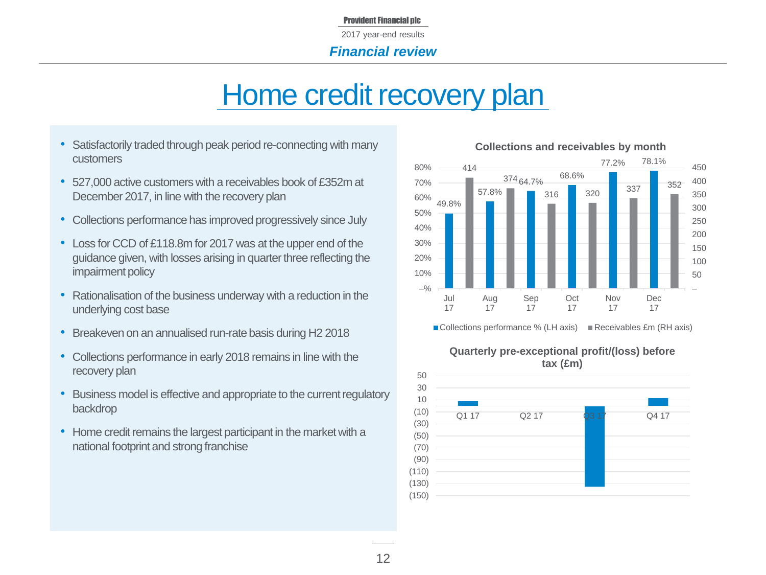# Home credit recovery plan

- Satisfactorily traded through peak period re-connecting with many customers
- 527,000 active customers with a receivables book of £352m at December 2017, in line with the recovery plan
- Collections performance has improved progressively since July
- Loss for CCD of £118.8m for 2017 was at the upper end of the guidance given, with losses arising in quarter three reflecting the impairment policy
- Rationalisation of the business underway with a reduction in the underlying cost base
- Breakeven on an annualised run-rate basis during H2 2018
- Collections performance in early 2018 remains in line with the recovery plan
- Business model is effective and appropriate to the current regulatory backdrop
- Home credit remains the largest participant in the market with a national footprint and strong franchise



#### **Collections and receivables by month**



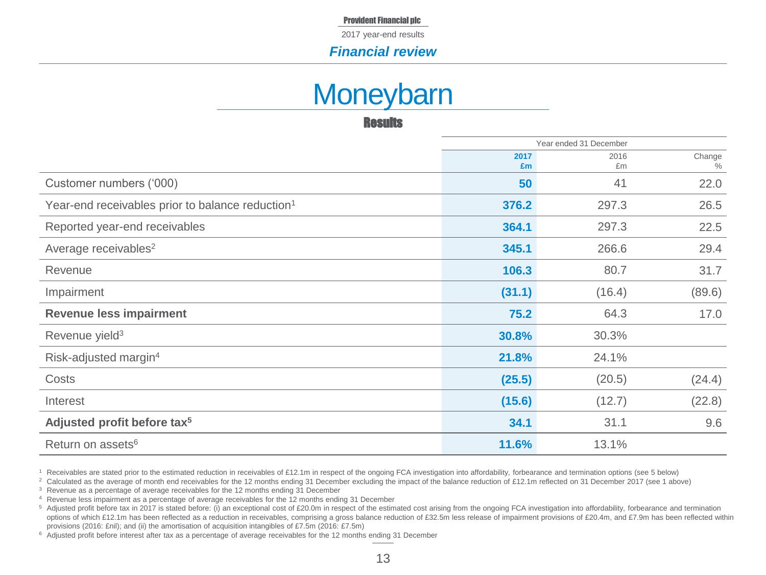2017 year-end results

#### *Financial review*

# **Moneybarn**

**Results** 

|                                                              | Year ended 31 December |            |                |
|--------------------------------------------------------------|------------------------|------------|----------------|
|                                                              | 2017<br>£m             | 2016<br>£m | Change<br>$\%$ |
| Customer numbers ('000)                                      | 50                     | 41         | 22.0           |
| Year-end receivables prior to balance reduction <sup>1</sup> | 376.2                  | 297.3      | 26.5           |
| Reported year-end receivables                                | 364.1                  | 297.3      | 22.5           |
| Average receivables <sup>2</sup>                             | 345.1                  | 266.6      | 29.4           |
| Revenue                                                      | 106.3                  | 80.7       | 31.7           |
| Impairment                                                   | (31.1)                 | (16.4)     | (89.6)         |
| <b>Revenue less impairment</b>                               | 75.2                   | 64.3       | 17.0           |
| Revenue yield <sup>3</sup>                                   | 30.8%                  | 30.3%      |                |
| Risk-adjusted margin <sup>4</sup>                            | 21.8%                  | 24.1%      |                |
| Costs                                                        | (25.5)                 | (20.5)     | (24.4)         |
| Interest                                                     | (15.6)                 | (12.7)     | (22.8)         |
| Adjusted profit before tax <sup>5</sup>                      | 34.1                   | 31.1       | 9.6            |
| Return on assets <sup>6</sup>                                | 11.6%                  | 13.1%      |                |

<sup>1</sup> Receivables are stated prior to the estimated reduction in receivables of £12.1m in respect of the ongoing FCA investigation into affordability, forbearance and termination options (see 5 below)

<sup>&</sup>lt;sup>2</sup> Calculated as the average of month end receivables for the 12 months ending 31 December excluding the impact of the balance reduction of £12.1m reflected on 31 December 2017 (see 1 above)

<sup>3</sup> Revenue as a percentage of average receivables for the 12 months ending 31 December

<sup>4</sup> Revenue less impairment as a percentage of average receivables for the 12 months ending 31 December

<sup>5</sup> Adjusted profit before tax in 2017 is stated before: (i) an exceptional cost of £20.0m in respect of the estimated cost arising from the ongoing FCA investigation into affordability, forbearance and termination options of which £12.1m has been reflected as a reduction in receivables, comprising a gross balance reduction of £32.5m less release of impairment provisions of £20.4m, and £7.9m has been reflected within provisions (2016: £nil); and (ii) the amortisation of acquisition intangibles of £7.5m (2016: £7.5m)

<sup>6</sup> Adjusted profit before interest after tax as a percentage of average receivables for the 12 months ending 31 December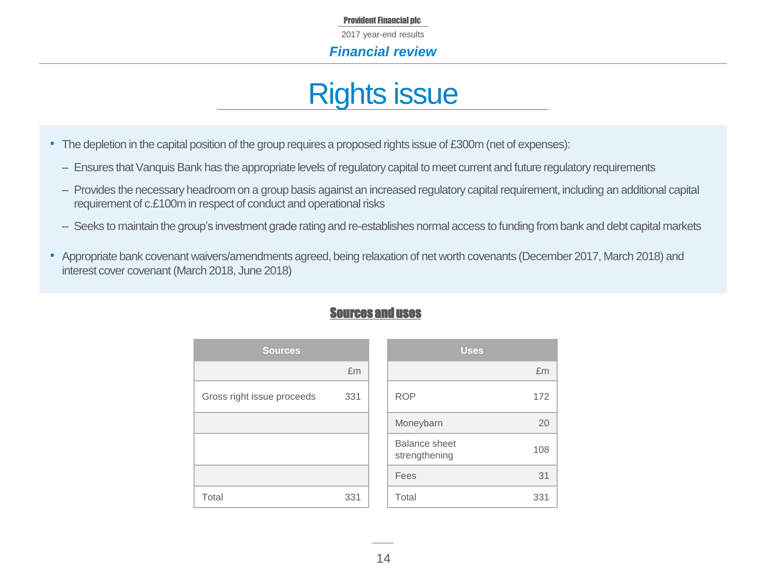2017 year-end results

*Financial review*

# Rights issue

- The depletion in the capital position of the group requires a proposed rights issue of £300m (net of expenses):
	- Ensures that Vanquis Bank has the appropriate levels of regulatory capital to meet current and future regulatory requirements
	- ‒ Provides the necessary headroom on a group basis against an increased regulatory capital requirement, including an additional capital requirement of c.£100m in respect of conduct and operational risks
	- ‒ Seeks to maintain the group's investment grade rating and re-establishes normal access to funding from bank and debt capital markets
- Appropriate bank covenant waivers/amendments agreed, being relaxation of net worth covenants (December 2017, March 2018) and interest cover covenant (March 2018, June 2018)

| <b>Sources</b>             |     | <b>Uses</b>                           |     |
|----------------------------|-----|---------------------------------------|-----|
|                            | £m  |                                       | £m  |
| Gross right issue proceeds | 331 | <b>ROP</b>                            | 172 |
|                            |     | Moneybarn                             | 20  |
|                            |     | <b>Balance sheet</b><br>strengthening | 108 |
|                            |     | Fees                                  | 31  |
| Total                      | 331 | Total                                 | 331 |

## Sources and uses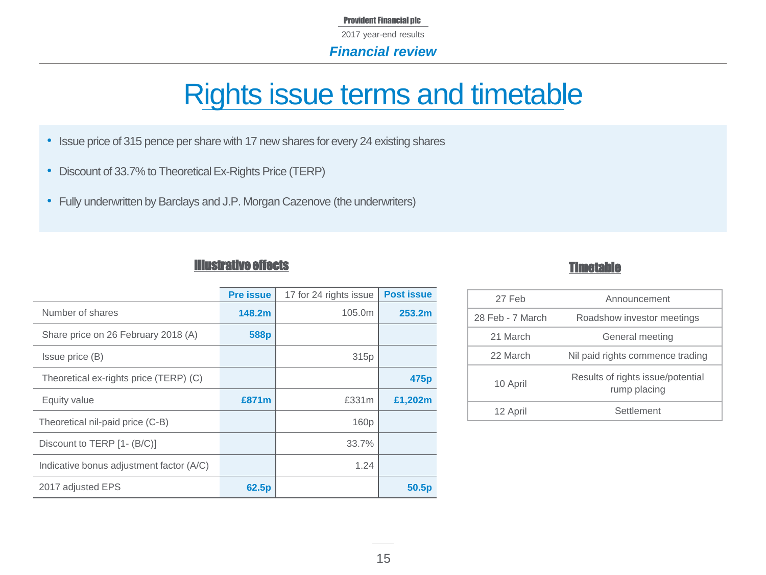#### Provident Financial plc 2017 year-end results *Financial review*

# Rights issue terms and timetable

- Issue price of 315 pence per share with 17 new shares for every 24 existing shares
- Discount of 33.7% to Theoretical Ex-Rights Price (TERP)
- Fully underwritten by Barclays and J.P. Morgan Cazenove (the underwriters)

### Illustrative effects

|--|

|                                          | <b>Pre issue</b>  | 17 for 24 rights issue | <b>Post issue</b> |
|------------------------------------------|-------------------|------------------------|-------------------|
| Number of shares                         | 148.2m            | 105.0m                 | 253.2m            |
| Share price on 26 February 2018 (A)      | 588p              |                        |                   |
| Issue price (B)                          |                   | 315 <sub>p</sub>       |                   |
| Theoretical ex-rights price (TERP) (C)   |                   |                        | 475 <sub>p</sub>  |
| Equity value                             | £871m             | £331m                  | £1,202m           |
| Theoretical nil-paid price (C-B)         |                   | 160p                   |                   |
| Discount to TERP [1- (B/C)]              |                   | 33.7%                  |                   |
| Indicative bonus adjustment factor (A/C) |                   | 1.24                   |                   |
| 2017 adjusted EPS                        | 62.5 <sub>p</sub> |                        | 50.5 <sub>p</sub> |

| 27 Feb           | Announcement                                      |
|------------------|---------------------------------------------------|
| 28 Feb - 7 March | Roadshow investor meetings                        |
| 21 March         | General meeting                                   |
| 22 March         | Nil paid rights commence trading                  |
| 10 April         | Results of rights issue/potential<br>rump placing |
| 12 April         | Settlement                                        |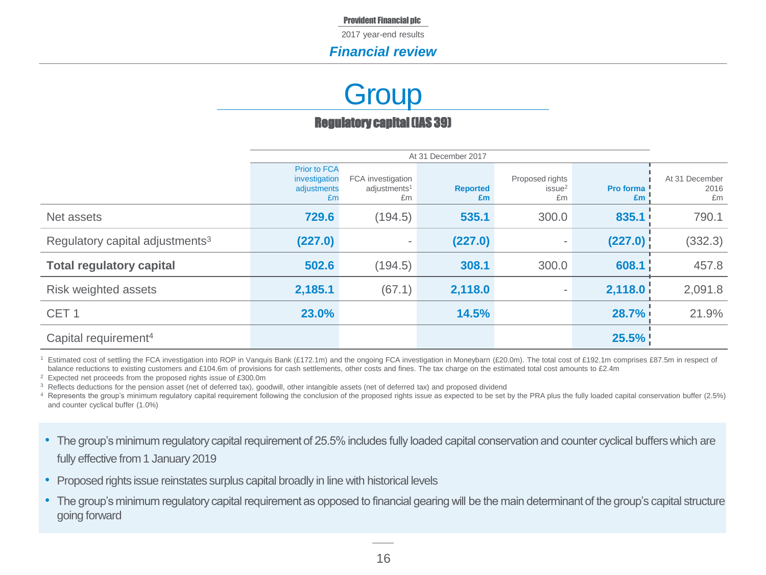2017 year-end results

### *Financial review*

# **Group**

### Regulatory capital (IAS 39)

|                                             |                                                           | At 31 December 2017                                 |                       |                                             |                        |                              |
|---------------------------------------------|-----------------------------------------------------------|-----------------------------------------------------|-----------------------|---------------------------------------------|------------------------|------------------------------|
|                                             | <b>Prior to FCA</b><br>investigation<br>adjustments<br>Em | FCA investigation<br>adjustments <sup>1</sup><br>£m | <b>Reported</b><br>£m | Proposed rights<br>issue <sup>2</sup><br>£m | <b>Pro forma</b><br>£m | At 31 December<br>2016<br>£m |
| Net assets                                  | 729.6                                                     | (194.5)                                             | 535.1                 | 300.0                                       | 835.1                  | 790.1                        |
| Regulatory capital adjustments <sup>3</sup> | (227.0)                                                   | ٠                                                   | (227.0)               | $\overline{\phantom{a}}$                    | (227.0)                | (332.3)                      |
| <b>Total regulatory capital</b>             | 502.6                                                     | (194.5)                                             | 308.1                 | 300.0                                       | 608.1                  | 457.8                        |
| Risk weighted assets                        | 2,185.1                                                   | (67.1)                                              | 2,118.0               |                                             | 2,118.0                | 2,091.8                      |
| CET <sub>1</sub>                            | 23.0%                                                     |                                                     | 14.5%                 |                                             | 28.7%                  | 21.9%                        |
| Capital requirement <sup>4</sup>            |                                                           |                                                     |                       |                                             | 25.5%                  |                              |

<sup>1</sup> Estimated cost of settling the FCA investigation into ROP in Vanquis Bank (£172.1m) and the ongoing FCA investigation in Moneybarn (£20.0m). The total cost of £192.1m comprises £87.5m in respect of balance reductions to existing customers and £104.6m of provisions for cash settlements, other costs and fines. The tax charge on the estimated total cost amounts to £2.4m

<sup>2</sup> Expected net proceeds from the proposed rights issue of £300.0m

<sup>3</sup> Reflects deductions for the pension asset (net of deferred tax), goodwill, other intangible assets (net of deferred tax) and proposed dividend

4 Represents the group's minimum regulatory capital requirement following the conclusion of the proposed rights issue as expected to be set by the PRA plus the fully loaded capital conservation buffer (2.5%) and counter cyclical buffer (1.0%)

- The group's minimum regulatory capital requirement of 25.5% includes fully loaded capital conservation and counter cyclical buffers which are fully effective from 1 January 2019
- Proposed rights issue reinstates surplus capital broadly in line with historical levels
- The group's minimum regulatory capital requirement as opposed to financial gearing will be the main determinant of the group's capital structure going forward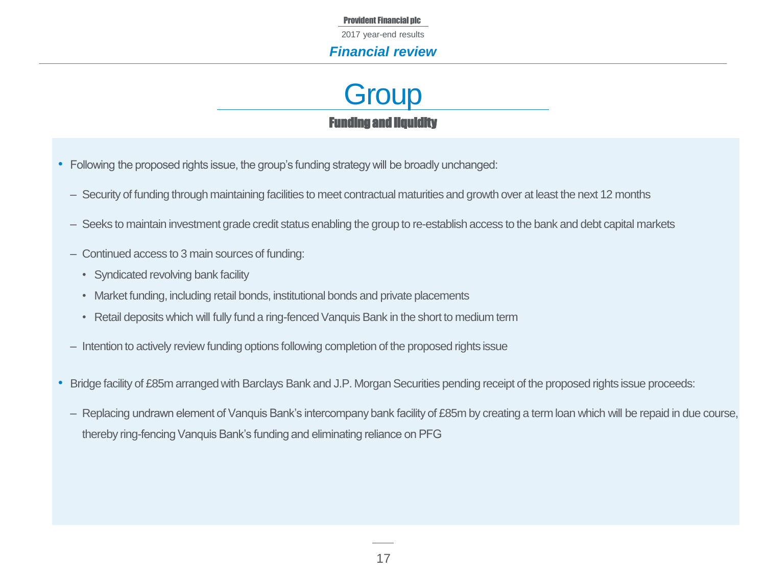2017 year-end results

### *Financial review*



- Following the proposed rights issue, the group's funding strategy will be broadly unchanged:
	- Security of funding through maintaining facilities to meet contractual maturities and growth over at least the next 12 months
	- ‒ Seeks to maintain investment grade credit status enabling the group to re-establish access to the bank and debt capital markets
	- ‒ Continued access to 3 main sources of funding:
		- Syndicated revolving bank facility
		- Market funding, including retail bonds, institutional bonds and private placements
		- Retail deposits which will fully fund a ring-fenced Vanquis Bank in the short to medium term
	- Intention to actively review funding options following completion of the proposed rights issue
- Bridge facility of £85m arranged with Barclays Bank and J.P. Morgan Securities pending receipt of the proposed rights issue proceeds:
	- Replacing undrawn element of Vanguis Bank's intercompany bank facility of £85m by creating a term loan which will be repaid in due course, thereby ring-fencing Vanquis Bank's funding and eliminating reliance on PFG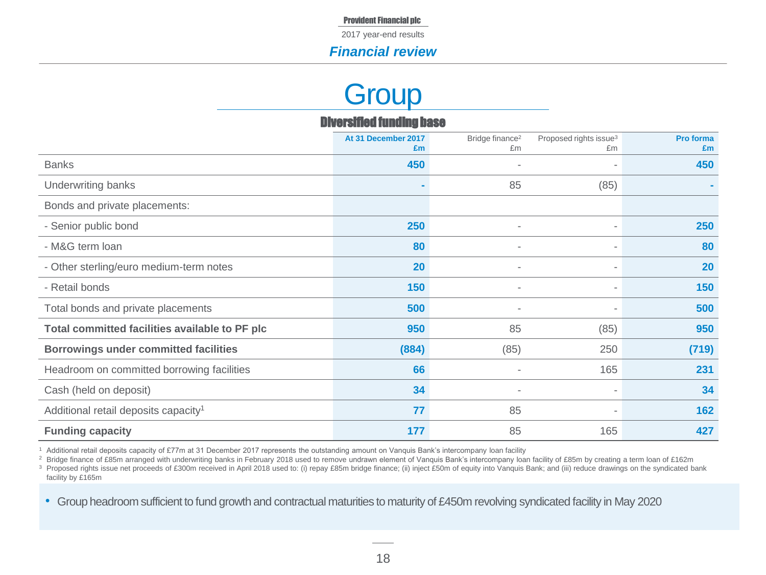2017 year-end results

### *Financial review*

# **Group**

| <b>Diversified funding base</b>                  |                           |                                   |                                          |                 |  |  |  |
|--------------------------------------------------|---------------------------|-----------------------------------|------------------------------------------|-----------------|--|--|--|
|                                                  | At 31 December 2017<br>£m | Bridge finance <sup>2</sup><br>£m | Proposed rights issue <sup>3</sup><br>£m | Pro forma<br>£m |  |  |  |
| <b>Banks</b>                                     | 450                       | ٠                                 |                                          | 450             |  |  |  |
| Underwriting banks                               | $\blacksquare$            | 85                                | (85)                                     |                 |  |  |  |
| Bonds and private placements:                    |                           |                                   |                                          |                 |  |  |  |
| - Senior public bond                             | 250                       | $\sim$                            |                                          | 250             |  |  |  |
| - M&G term loan                                  | 80                        | ٠                                 | ٠                                        | 80              |  |  |  |
| - Other sterling/euro medium-term notes          | 20                        | $\overline{\phantom{a}}$          |                                          | 20              |  |  |  |
| - Retail bonds                                   | 150                       | $\overline{\phantom{a}}$          |                                          | 150             |  |  |  |
| Total bonds and private placements               | 500                       | ٠                                 |                                          | 500             |  |  |  |
| Total committed facilities available to PF plc   | 950                       | 85                                | (85)                                     | 950             |  |  |  |
| <b>Borrowings under committed facilities</b>     | (884)                     | (85)                              | 250                                      | (719)           |  |  |  |
| Headroom on committed borrowing facilities       | 66                        |                                   | 165                                      | 231             |  |  |  |
| Cash (held on deposit)                           | 34                        | ٠                                 |                                          | 34              |  |  |  |
| Additional retail deposits capacity <sup>1</sup> | 77                        | 85                                |                                          | 162             |  |  |  |
| <b>Funding capacity</b>                          | 177                       | 85                                | 165                                      | 427             |  |  |  |

<sup>1</sup> Additional retail deposits capacity of £77m at 31 December 2017 represents the outstanding amount on Vanquis Bank's intercompany loan facility

<sup>2</sup> Bridge finance of £85m arranged with underwriting banks in February 2018 used to remove undrawn element of Vanquis Bank's intercompany loan facility of £85m by creating a term loan of £162m

<sup>3</sup> Proposed rights issue net proceeds of £300m received in April 2018 used to: (i) repay £85m bridge finance; (ii) inject £50m of equity into Vanquis Bank; and (iii) reduce drawings on the syndicated bank facility by £165m

• Group headroom sufficient to fund growth and contractual maturities to maturity of £450m revolving syndicated facility in May 2020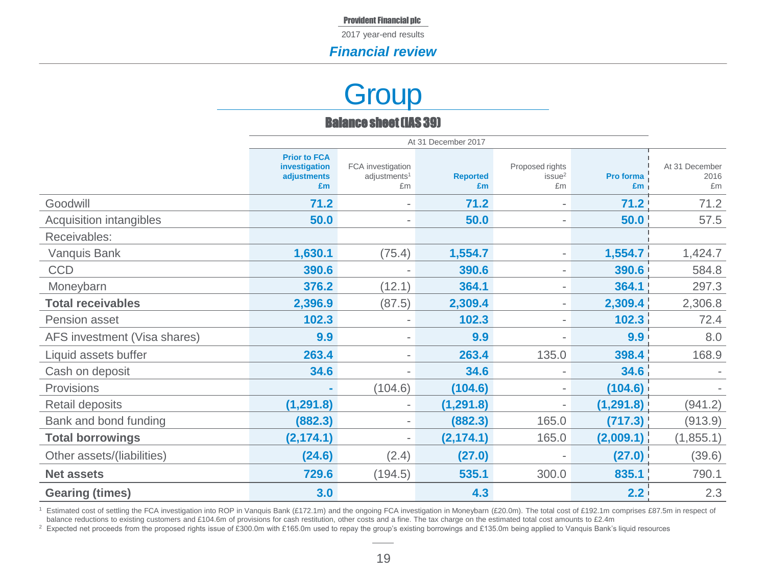### *Financial review*

# **Group**

### Balance sheet (IAS 39)

|                              | At 31 December 2017                                       |                                                     |                       |                                             |                   |                              |
|------------------------------|-----------------------------------------------------------|-----------------------------------------------------|-----------------------|---------------------------------------------|-------------------|------------------------------|
|                              | <b>Prior to FCA</b><br>investigation<br>adjustments<br>£m | FCA investigation<br>adjustments <sup>1</sup><br>£m | <b>Reported</b><br>£m | Proposed rights<br>issue <sup>2</sup><br>£m | Pro forma<br>£m   | At 31 December<br>2016<br>£m |
| Goodwill                     | $71.2$                                                    |                                                     | 71.2                  | $\overline{\phantom{a}}$                    | 71.2              | 71.2                         |
| Acquisition intangibles      | 50.0                                                      | $\overline{\phantom{a}}$                            | 50.0                  | $\overline{\phantom{a}}$                    | 50.0              | 57.5                         |
| Receivables:                 |                                                           |                                                     |                       |                                             |                   |                              |
| Vanquis Bank                 | 1,630.1                                                   | (75.4)                                              | 1,554.7               | $\overline{\phantom{a}}$                    | 1,554.7           | 1,424.7                      |
| <b>CCD</b>                   | 390.6                                                     |                                                     | 390.6                 | $\overline{\phantom{a}}$                    | 390.6             | 584.8                        |
| Moneybarn                    | 376.2                                                     | (12.1)                                              | 364.1                 |                                             | 364.1             | 297.3                        |
| <b>Total receivables</b>     | 2,396.9                                                   | (87.5)                                              | 2,309.4               | $\overline{\phantom{a}}$                    | 2,309.4           | 2,306.8                      |
| Pension asset                | 102.3                                                     |                                                     | 102.3                 | $\blacksquare$                              | 102.3             | 72.4                         |
| AFS investment (Visa shares) | 9.9                                                       | $\overline{\phantom{a}}$                            | 9.9                   |                                             | 9.9               | 8.0                          |
| Liquid assets buffer         | 263.4                                                     | $\overline{\phantom{a}}$                            | 263.4                 | 135.0                                       | 398.4             | 168.9                        |
| Cash on deposit              | 34.6                                                      | $\blacksquare$                                      | 34.6                  | $\overline{\phantom{a}}$                    | 34.6 <sub>1</sub> |                              |
| Provisions                   |                                                           | (104.6)                                             | (104.6)               | $\overline{\phantom{a}}$                    | (104.6)           |                              |
| Retail deposits              | (1, 291.8)                                                | $\overline{\phantom{a}}$                            | (1, 291.8)            | $\overline{\phantom{a}}$                    | (1, 291.8)        | (941.2)                      |
| Bank and bond funding        | (882.3)                                                   | $\overline{\phantom{a}}$                            | (882.3)               | 165.0                                       | (717.3)           | (913.9)                      |
| <b>Total borrowings</b>      | (2, 174.1)                                                | $\overline{\phantom{a}}$                            | (2, 174.1)            | 165.0                                       | (2,009.1)         | (1, 855.1)                   |
| Other assets/(liabilities)   | (24.6)                                                    | (2.4)                                               | (27.0)                |                                             | (27.0)            | (39.6)                       |
| <b>Net assets</b>            | 729.6                                                     | (194.5)                                             | 535.1                 | 300.0                                       | 835.1             | 790.1                        |
| <b>Gearing (times)</b>       | 3.0                                                       |                                                     | 4.3                   |                                             | 2.2               | 2.3                          |

<sup>1</sup> Estimated cost of settling the FCA investigation into ROP in Vanquis Bank (£172.1m) and the ongoing FCA investigation in Moneybarn (£20.0m). The total cost of £192.1m comprises £87.5m in respect of balance reductions to existing customers and £104.6m of provisions for cash restitution, other costs and a fine. The tax charge on the estimated total cost amounts to £2.4m

<sup>2</sup> Expected net proceeds from the proposed rights issue of £300.0m with £165.0m used to repay the group's existing borrowings and £135.0m being applied to Vanquis Bank's liquid resources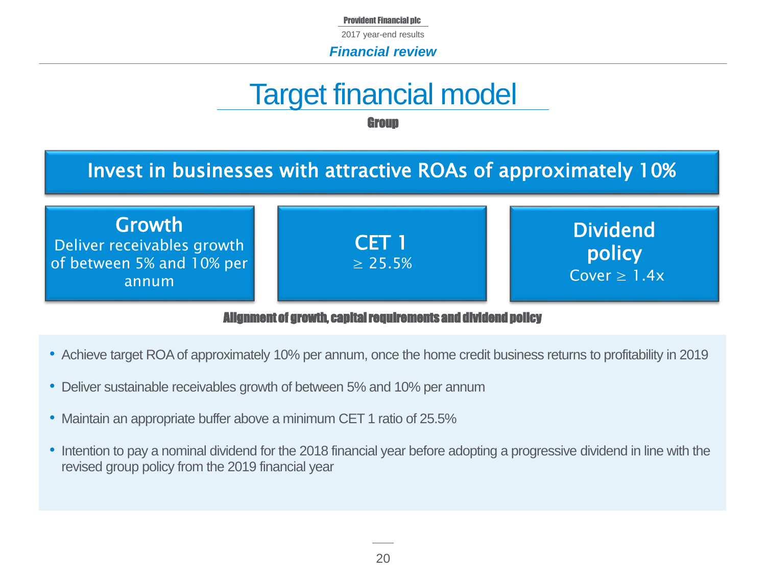2017 year-end results

*Financial review*

# Target financial model

**Group** 

# Invest in businesses with attractive ROAs of approximately 10%

Growth Deliver receivables growth of between 5% and 10% per annum



Dividend policy  $Cover > 1.4x$ 

Alignment of growth, capital requirements and dividend policy

- Achieve target ROA of approximately 10% per annum, once the home credit business returns to profitability in 2019
- Deliver sustainable receivables growth of between 5% and 10% per annum
- Maintain an appropriate buffer above a minimum CET 1 ratio of 25.5%
- Intention to pay a nominal dividend for the 2018 financial year before adopting a progressive dividend in line with the revised group policy from the 2019 financial year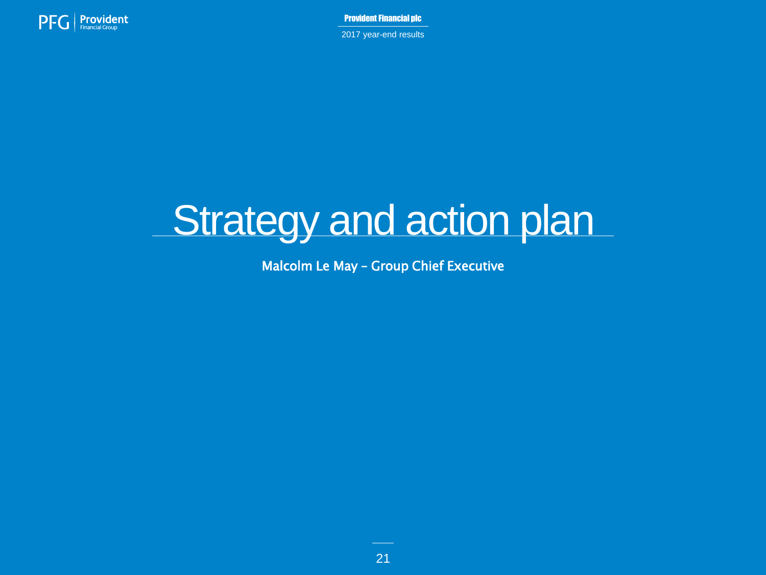

2017 year-end results

# Strategy and action plan

Malcolm Le May – Group Chief Executive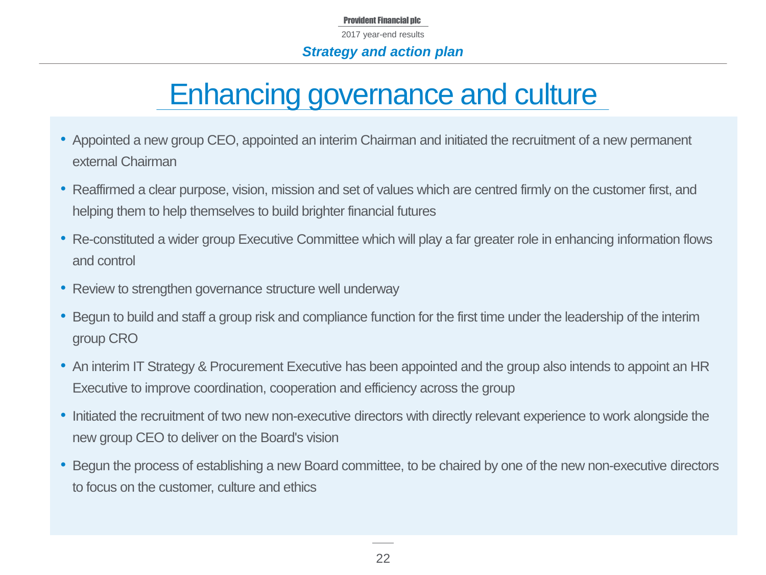# Enhancing governance and culture

- Appointed a new group CEO, appointed an interim Chairman and initiated the recruitment of a new permanent external Chairman
- Reaffirmed a clear purpose, vision, mission and set of values which are centred firmly on the customer first, and helping them to help themselves to build brighter financial futures
- Re-constituted a wider group Executive Committee which will play a far greater role in enhancing information flows and control
- Review to strengthen governance structure well underway
- Begun to build and staff a group risk and compliance function for the first time under the leadership of the interim group CRO
- An interim IT Strategy & Procurement Executive has been appointed and the group also intends to appoint an HR Executive to improve coordination, cooperation and efficiency across the group
- Initiated the recruitment of two new non-executive directors with directly relevant experience to work alongside the new group CEO to deliver on the Board's vision
- Begun the process of establishing a new Board committee, to be chaired by one of the new non-executive directors to focus on the customer, culture and ethics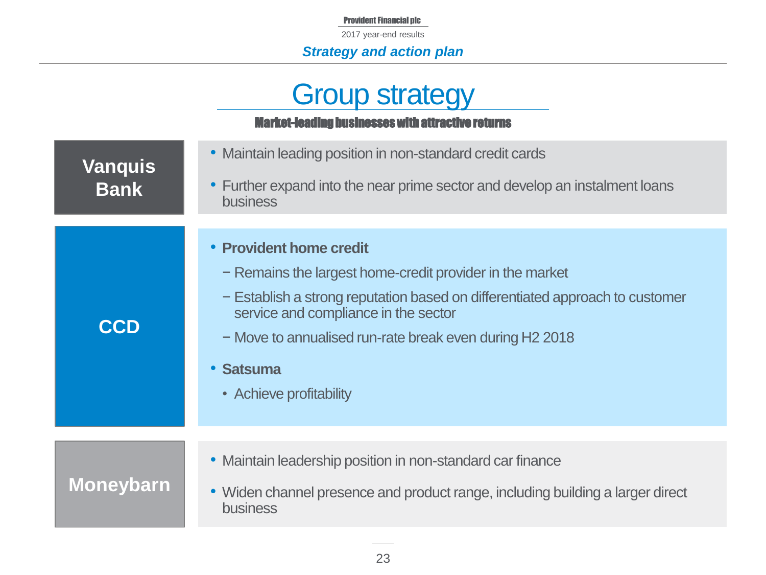2017 year-end results

### *Strategy and action plan*

# **Group strategy**

### Market-leading businesses with attractive returns

| <b>Vanquis</b><br><b>Bank</b> | • Maintain leading position in non-standard credit cards<br>Further expand into the near prime sector and develop an instalment loans<br>$\bullet$<br><b>business</b>                                                                                                                                                    |
|-------------------------------|--------------------------------------------------------------------------------------------------------------------------------------------------------------------------------------------------------------------------------------------------------------------------------------------------------------------------|
| <b>CCD</b>                    | <b>Provident home credit</b><br>- Remains the largest home-credit provider in the market<br>- Establish a strong reputation based on differentiated approach to customer<br>service and compliance in the sector<br>- Move to annualised run-rate break even during H2 2018<br><b>Satsuma</b><br>• Achieve profitability |
| <b>Moneybarn</b>              | • Maintain leadership position in non-standard car finance<br>• Widen channel presence and product range, including building a larger direct<br><b>business</b>                                                                                                                                                          |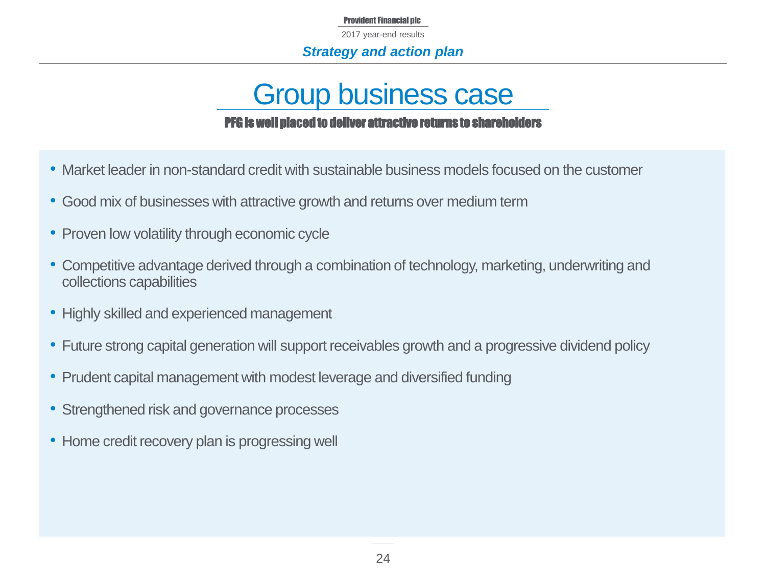Provident Financial plc 2017 year-end results

### *Strategy and action plan*

# Group business case PFG is well placed to deliver attractive returns to shareholders

- Market leader in non-standard credit with sustainable business models focused on the customer
- Good mix of businesses with attractive growth and returns over medium term
- Proven low volatility through economic cycle
- Competitive advantage derived through a combination of technology, marketing, underwriting and collections capabilities
- Highly skilled and experienced management
- Future strong capital generation will support receivables growth and a progressive dividend policy
- Prudent capital management with modest leverage and diversified funding
- Strengthened risk and governance processes
- Home credit recovery plan is progressing well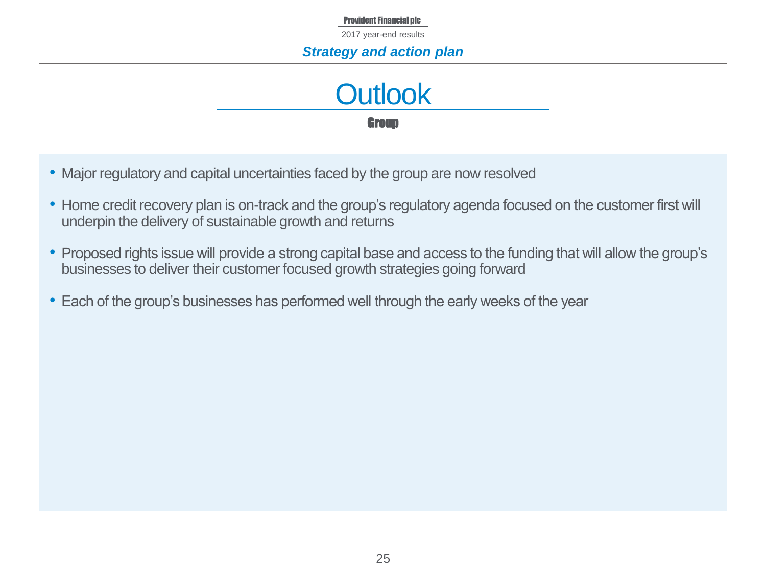## *Strategy and action plan*



- Major regulatory and capital uncertainties faced by the group are now resolved
- Home credit recovery plan is on-track and the group's regulatory agenda focused on the customer first will underpin the delivery of sustainable growth and returns
- Proposed rights issue will provide a strong capital base and access to the funding that will allow the group's businesses to deliver their customer focused growth strategies going forward
- Each of the group's businesses has performed well through the early weeks of the year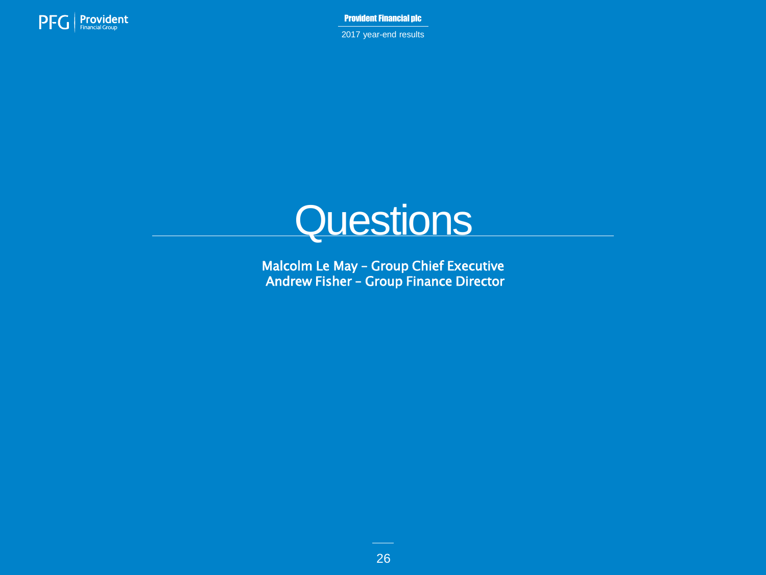

2017 year-end results



Malcolm Le May – Group Chief Executive Andrew Fisher – Group Finance Director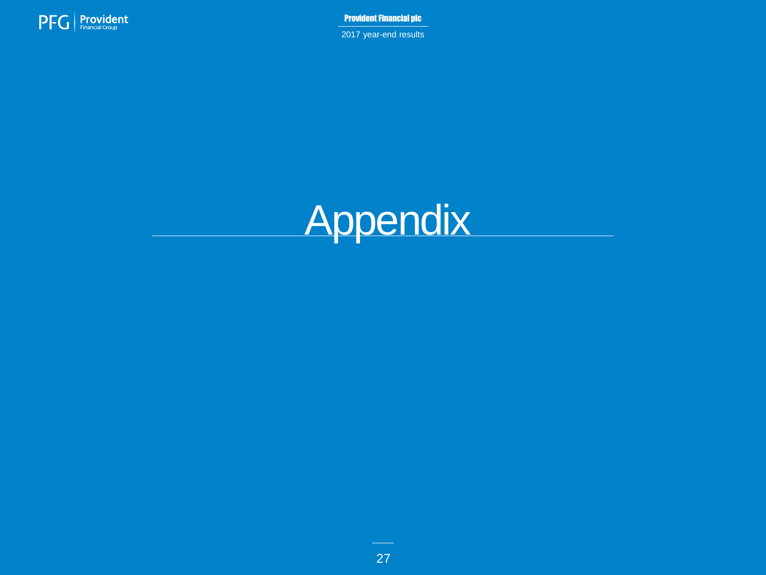

2017 year-end results

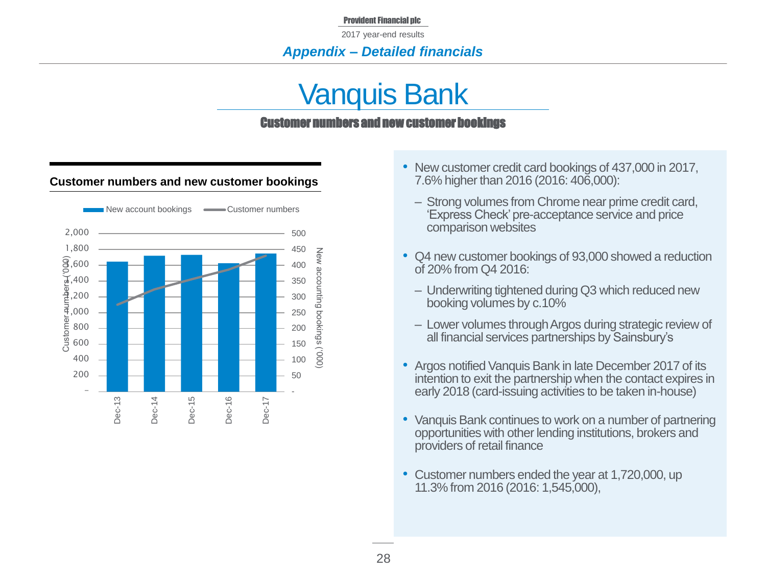2017 year-end results

### *Appendix – Detailed financials*

# Vanquis Bank

#### Customer numbers and new customer bookings

#### **Customer numbers and new customer bookings**



- New customer credit card bookings of 437,000 in 2017, 7.6% higher than 2016 (2016: 406,000):
	- ‒ Strong volumes from Chrome near prime credit card, 'Express Check' pre-acceptance service and price comparison websites
- Q4 new customer bookings of 93,000 showed a reduction of 20% from Q4 2016:
	- ‒ Underwriting tightened during Q3 which reduced new booking volumes by c.10%
	- ‒ Lower volumes through Argos during strategic review of all financial services partnerships by Sainsbury's
- Argos notified Vanquis Bank in late December 2017 of its intention to exit the partnership when the contact expires in early 2018 (card-issuing activities to be taken in-house)
- Vanquis Bank continues to work on a number of partnering opportunities with other lending institutions, brokers and providers of retail finance
- Customer numbers ended the year at 1,720,000, up 11.3% from 2016 (2016: 1,545,000),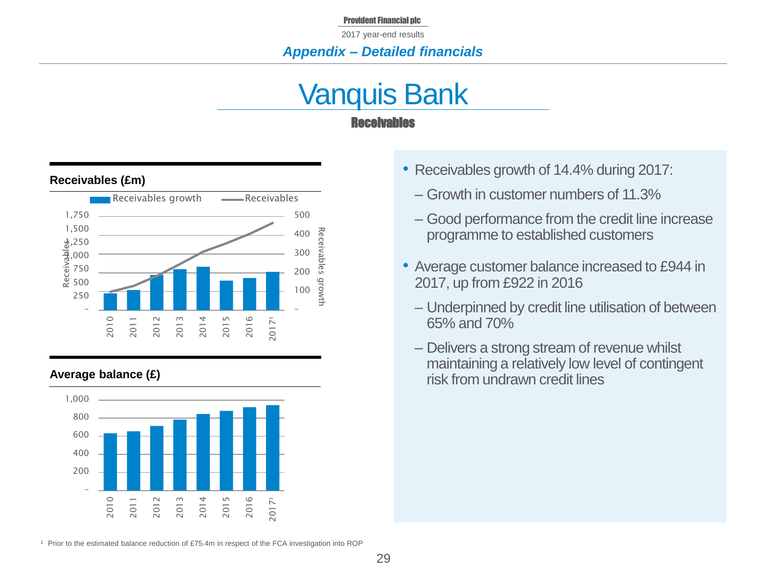### *Appendix – Detailed financials*

# Vanquis Bank Receivables



#### **Average balance (£)**



- Receivables growth of 14.4% during 2017:
	- ‒ Growth in customer numbers of 11.3%
	- ‒ Good performance from the credit line increase programme to established customers
- Average customer balance increased to £944 in 2017, up from £922 in 2016
	- ‒ Underpinned by credit line utilisation of between 65% and 70%
	- ‒ Delivers a strong stream of revenue whilst maintaining a relatively low level of contingent risk from undrawn credit lines

<sup>1</sup> Prior to the estimated balance reduction of £75.4m in respect of the FCA investigation into ROP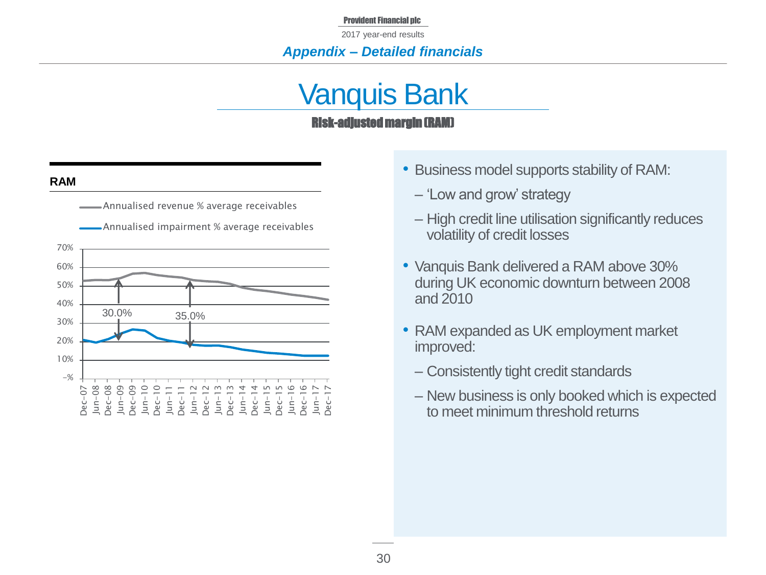2017 year-end results

### *Appendix – Detailed financials*

# Vanquis Bank Risk-adjusted margin (RAM)

#### **RAM**



- Business model supports stability of RAM:
	- ‒ 'Low and grow' strategy
	- ‒ High credit line utilisation significantly reduces volatility of credit losses
- Vanquis Bank delivered a RAM above 30% during UK economic downturn between 2008 and 2010
- RAM expanded as UK employment market improved:
	- ‒ Consistently tight credit standards
	- ‒ New business is only booked which is expected to meet minimum threshold returns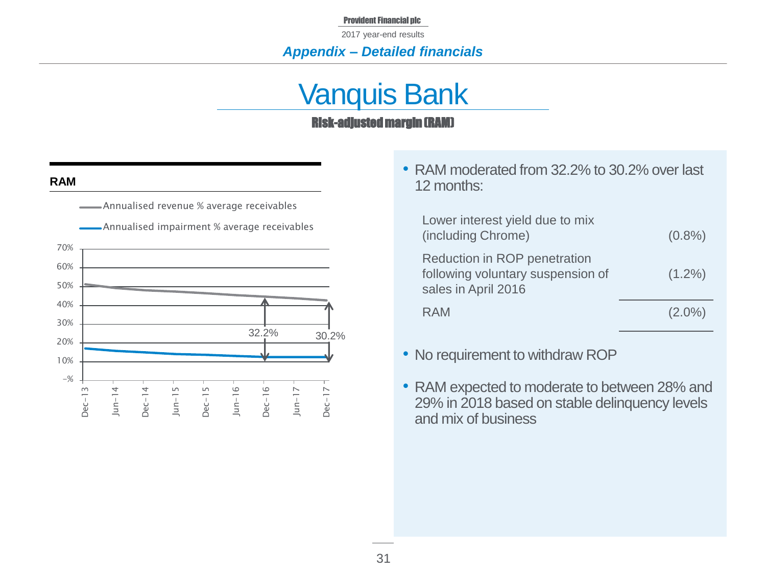2017 year-end results

### *Appendix – Detailed financials*

# Vanquis Bank Risk-adjusted margin (RAM)

#### **RAM**



• RAM moderated from 32.2% to 30.2% over last 12 months:

| Lower interest yield due to mix<br>(including Chrome)                                    | $(0.8\%)$ |
|------------------------------------------------------------------------------------------|-----------|
| Reduction in ROP penetration<br>following voluntary suspension of<br>sales in April 2016 | $(1.2\%)$ |
| RAM                                                                                      | $(2.0\%)$ |

- No requirement to withdraw ROP
- RAM expected to moderate to between 28% and 29% in 2018 based on stable delinquency levels and mix of business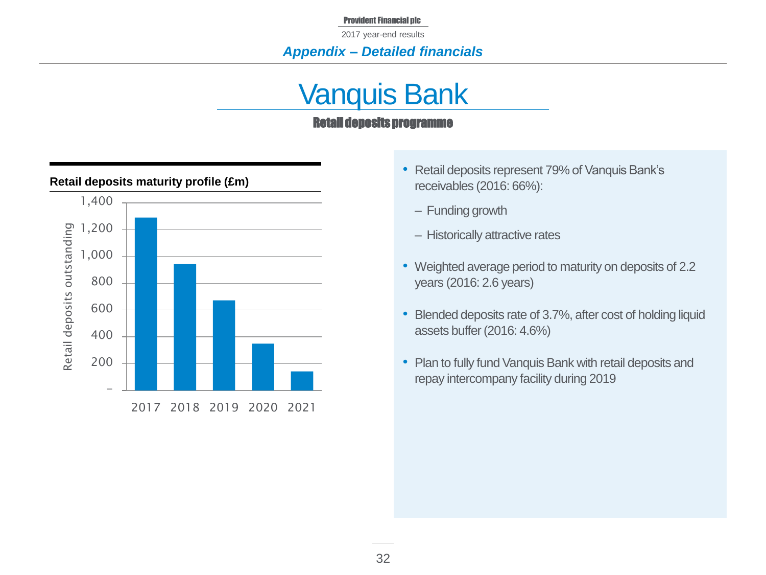2017 year-end results

### *Appendix – Detailed financials*

# Vanquis Bank

### Retail deposits programme



#### **Retail deposits maturity profile (£m)**

- Retail deposits represent 79% of Vanquis Bank's receivables (2016: 66%):
	- Funding growth
	- ‒ Historically attractive rates
- Weighted average period to maturity on deposits of 2.2 years (2016: 2.6 years)
- Blended deposits rate of 3.7%, after cost of holding liquid assets buffer (2016: 4.6%)
- Plan to fully fund Vanquis Bank with retail deposits and repay intercompany facility during 2019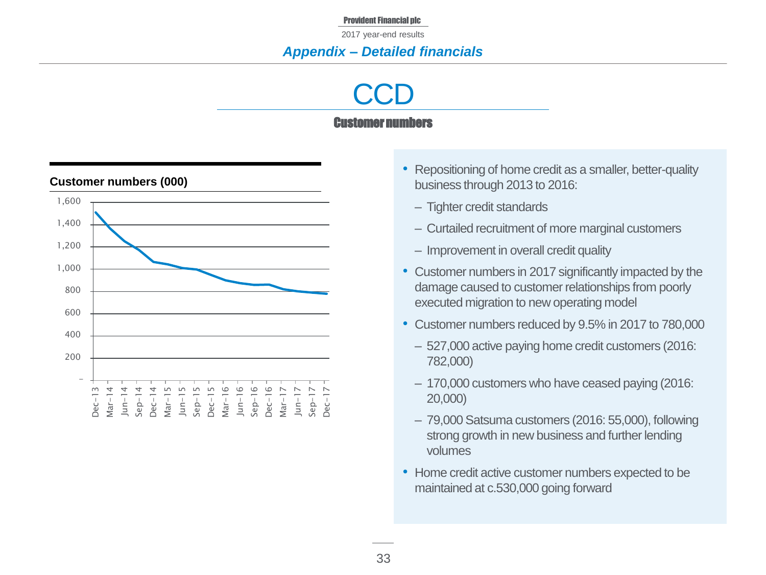### *Appendix – Detailed financials*

# **CCD** Customer numbers



### **Customer numbers (000)**

- Repositioning of home credit as a smaller, better-quality business through 2013 to 2016:
	- ‒ Tighter credit standards
	- ‒ Curtailed recruitment of more marginal customers
	- Improvement in overall credit quality
- Customer numbers in 2017 significantly impacted by the damage caused to customer relationships from poorly executed migration to new operating model
- Customer numbers reduced by 9.5% in 2017 to 780,000
	- ‒ 527,000 active paying home credit customers (2016: 782,000)
	- 170,000 customers who have ceased paying (2016: 20,000)
	- ‒ 79,000 Satsuma customers (2016: 55,000), following strong growth in new business and further lending volumes
- Home credit active customer numbers expected to be maintained at c.530,000 going forward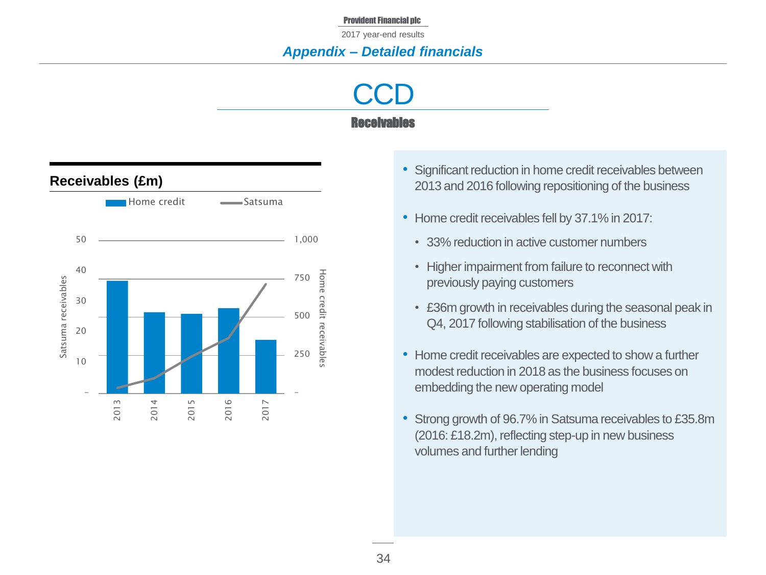### *Appendix – Detailed financials*

**CCD** Receivables



- Significant reduction in home credit receivables between 2013 and 2016 following repositioning of the business
- Home credit receivables fell by 37.1% in 2017:
	- 33% reduction in active customer numbers
	- Higher impairment from failure to reconnect with previously paying customers
	- £36m growth in receivables during the seasonal peak in Q4, 2017 following stabilisation of the business
- Home credit receivables are expected to show a further modest reduction in 2018 as the business focuses on embedding the new operating model
- Strong growth of 96.7% in Satsuma receivables to £35.8m (2016: £18.2m), reflecting step-up in new business volumes and further lending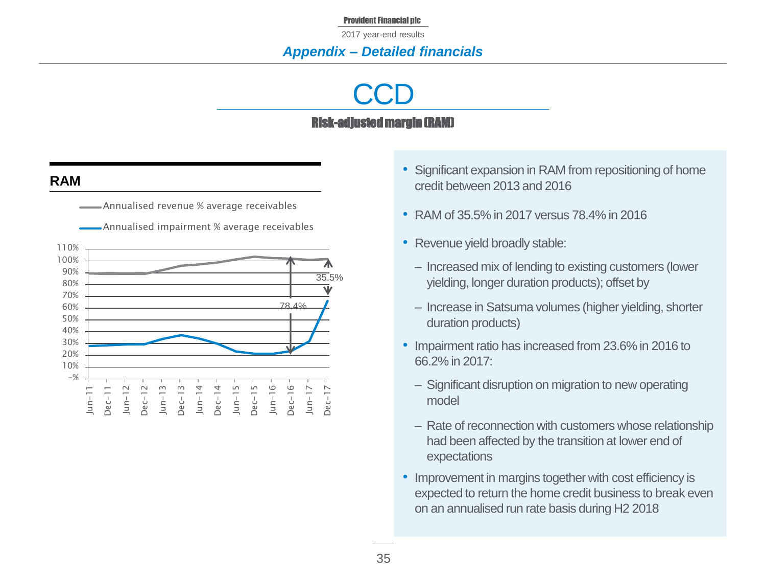### *Appendix – Detailed financials*

# **CCD** Risk-adjusted margin (RAM)

### **RAM**

Annualised revenue % average receivables



Annualised impairment % average receivables

- Significant expansion in RAM from repositioning of home credit between 2013 and 2016
- RAM of 35.5% in 2017 versus 78.4% in 2016
- Revenue yield broadly stable:
	- ‒ Increased mix of lending to existing customers (lower yielding, longer duration products); offset by
	- ‒ Increase in Satsuma volumes (higher yielding, shorter duration products)
- Impairment ratio has increased from 23.6% in 2016 to 66.2% in 2017:
	- ‒ Significant disruption on migration to new operating model
	- Rate of reconnection with customers whose relationship had been affected by the transition at lower end of expectations
- Improvement in margins together with cost efficiency is expected to return the home credit business to break even on an annualised run rate basis during H2 2018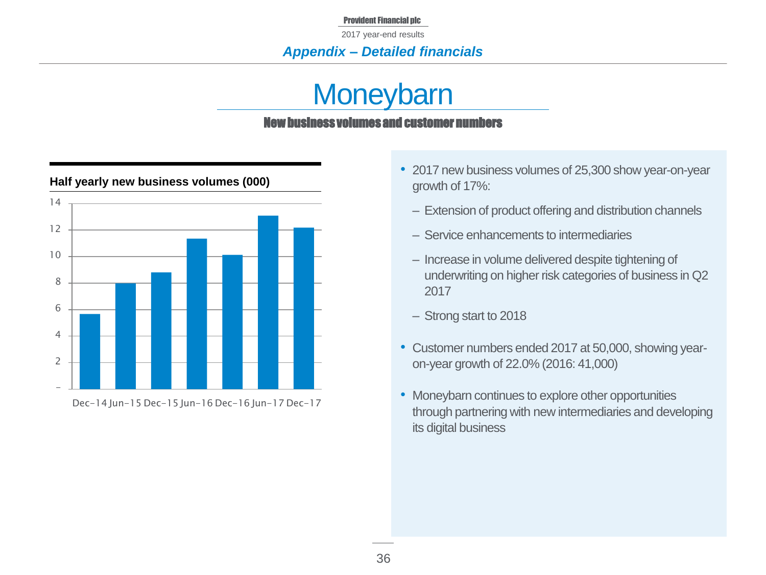2017 year-end results

### *Appendix – Detailed financials*

# **Moneybarn** v business volumes and customer nu



### **Half yearly new business volumes (000)**

- 2017 new business volumes of 25,300 show year-on-year growth of 17%:
	- Extension of product offering and distribution channels
	- ‒ Service enhancements to intermediaries
	- Increase in volume delivered despite tightening of underwriting on higher risk categories of business in Q2 2017
	- ‒ Strong start to 2018
- Customer numbers ended 2017 at 50,000, showing yearon-year growth of 22.0% (2016: 41,000)
- Moneybarn continues to explore other opportunities through partnering with new intermediaries and developing its digital business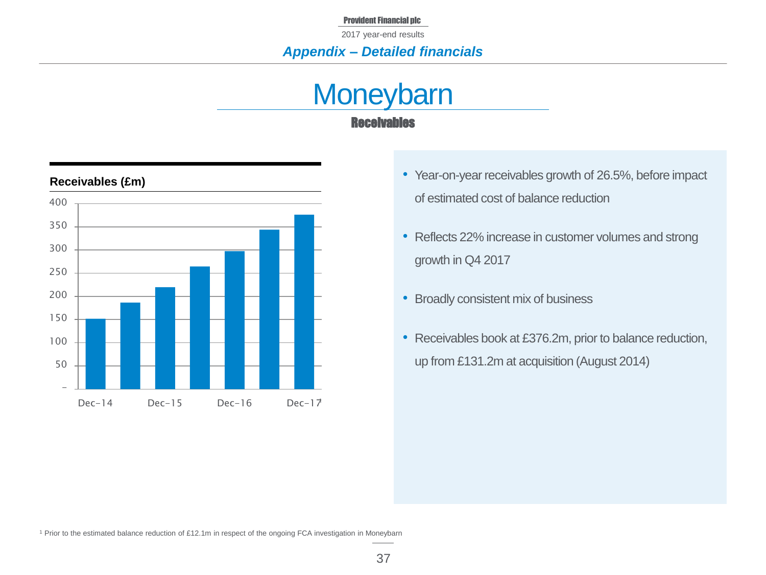### *Appendix – Detailed financials*

# **Moneybarn** Receivables



#### **Receivables (£m)**

- Year-on-year receivables growth of 26.5%, before impact of estimated cost of balance reduction
- Reflects 22% increase in customer volumes and strong growth in Q4 2017
- Broadly consistent mix of business
- Receivables book at £376.2m, prior to balance reduction, up from £131.2m at acquisition (August 2014)

<sup>1</sup> Prior to the estimated balance reduction of £12.1m in respect of the ongoing FCA investigation in Moneybarn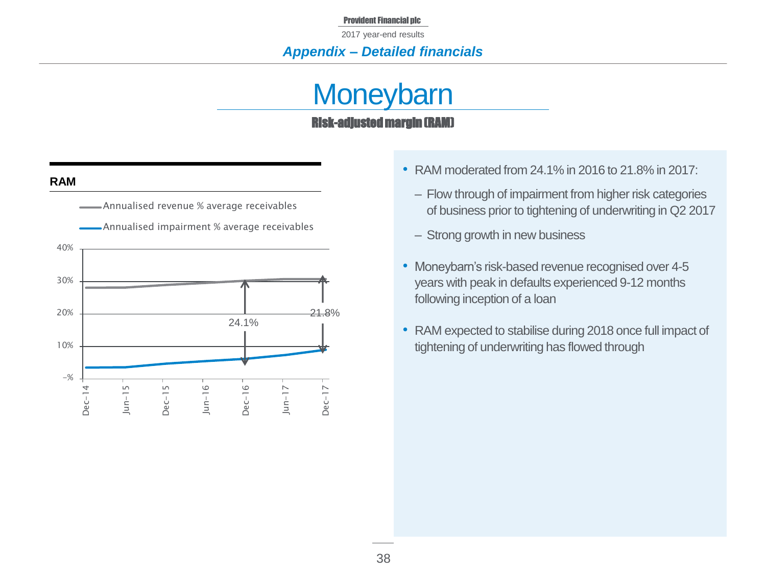2017 year-end results

### *Appendix – Detailed financials*

# **Moneybarn** Risk-adjusted margin (RAM)

#### **RAM**



- RAM moderated from 24.1% in 2016 to 21.8% in 2017:
	- ‒ Flow through of impairment from higher risk categories of business prior to tightening of underwriting in Q2 2017
	- Strong growth in new business
- Moneybarn's risk-based revenue recognised over 4-5 years with peak in defaults experienced 9-12 months following inception of a loan
- RAM expected to stabilise during 2018 once full impact of tightening of underwriting has flowed through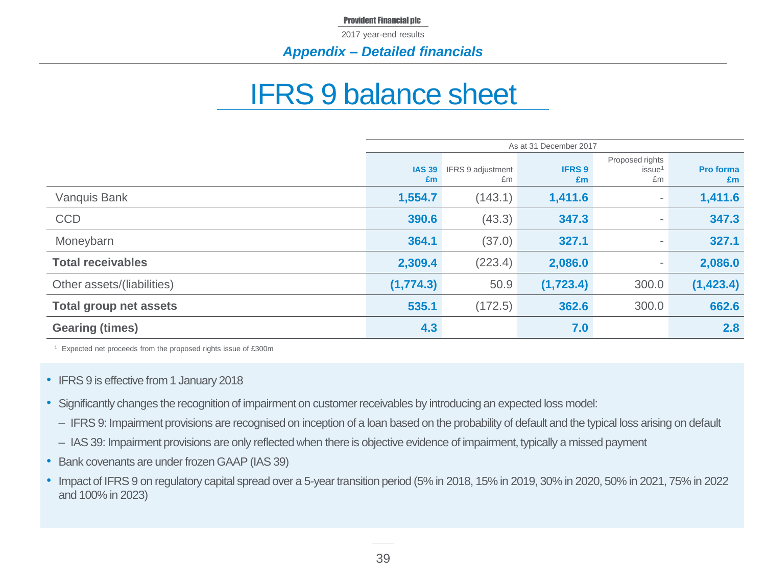2017 year-end results

### *Appendix – Detailed financials*

# IFRS 9 balance sheet

|                               | As at 31 December 2017 |                         |                     |                                             |                        |  |
|-------------------------------|------------------------|-------------------------|---------------------|---------------------------------------------|------------------------|--|
|                               | <b>IAS 39</b><br>£m    | IFRS 9 adjustment<br>£m | <b>IFRS 9</b><br>Em | Proposed rights<br>issue <sup>1</sup><br>£m | <b>Pro forma</b><br>£m |  |
| Vanquis Bank                  | 1,554.7                | (143.1)                 | 1,411.6             | $\overline{\phantom{a}}$                    | 1,411.6                |  |
| <b>CCD</b>                    | 390.6                  | (43.3)                  | 347.3               | $\overline{\phantom{a}}$                    | 347.3                  |  |
| Moneybarn                     | 364.1                  | (37.0)                  | 327.1               | $\overline{\phantom{a}}$                    | 327.1                  |  |
| <b>Total receivables</b>      | 2,309.4                | (223.4)                 | 2,086.0             | $\overline{\phantom{a}}$                    | 2,086.0                |  |
| Other assets/(liabilities)    | (1,774.3)              | 50.9                    | (1,723.4)           | 300.0                                       | (1, 423.4)             |  |
| <b>Total group net assets</b> | 535.1                  | (172.5)                 | 362.6               | 300.0                                       | 662.6                  |  |
| <b>Gearing (times)</b>        | 4.3                    |                         | 7.0                 |                                             | 2.8                    |  |

<sup>1</sup> Expected net proceeds from the proposed rights issue of £300m

- IFRS 9 is effective from 1 January 2018
- Significantly changes the recognition of impairment on customer receivables by introducing an expected loss model:
	- IFRS 9: Impairment provisions are recognised on inception of a loan based on the probability of default and the typical loss arising on default
	- IAS 39: Impairment provisions are only reflected when there is objective evidence of impairment, typically a missed payment
- Bank covenants are under frozen GAAP (IAS 39)
- Impact of IFRS 9 on regulatory capital spread over a 5-year transition period (5% in 2018, 15% in 2019, 30% in 2020, 50% in 2021, 75% in 2022 and 100% in 2023)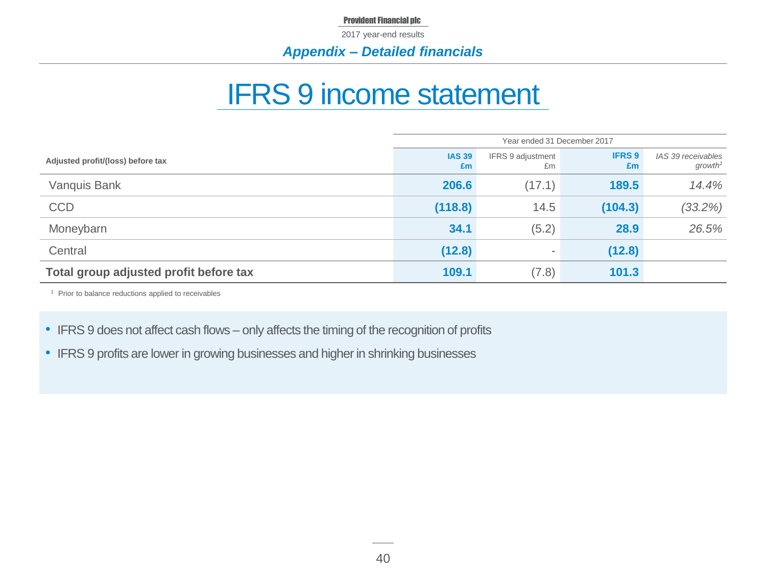2017 year-end results

### *Appendix – Detailed financials*

# IFRS 9 income statement

|                                        | Year ended 31 December 2017 |                          |                     |                                           |  |
|----------------------------------------|-----------------------------|--------------------------|---------------------|-------------------------------------------|--|
| Adjusted profit/(loss) before tax      | <b>IAS 39</b><br>£m         | IFRS 9 adjustment<br>£m  | <b>IFRS 9</b><br>Em | IAS 39 receivables<br>growth <sup>1</sup> |  |
| Vanquis Bank                           | 206.6                       | (17.1)                   | 189.5               | 14.4%                                     |  |
| <b>CCD</b>                             | (118.8)                     | 14.5                     | (104.3)             | $(33.2\%)$                                |  |
| Moneybarn                              | 34.1                        | (5.2)                    | 28.9                | 26.5%                                     |  |
| Central                                | (12.8)                      | $\overline{\phantom{a}}$ | (12.8)              |                                           |  |
| Total group adjusted profit before tax | 109.1                       | (7.8)                    | 101.3               |                                           |  |

<sup>1</sup> Prior to balance reductions applied to receivables

- IFRS 9 does not affect cash flows only affects the timing of the recognition of profits
- IFRS 9 profits are lower in growing businesses and higher in shrinking businesses